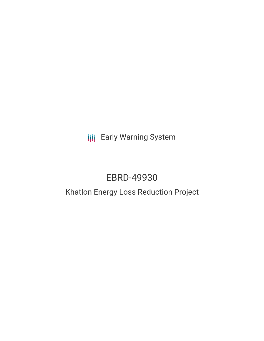**III** Early Warning System

# EBRD-49930

# Khatlon Energy Loss Reduction Project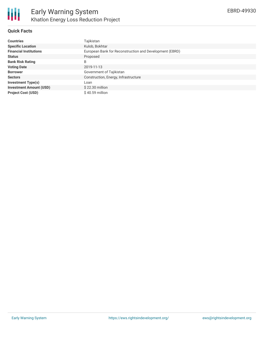#### **Quick Facts**

| <b>Countries</b>               | Tajikistan                                              |
|--------------------------------|---------------------------------------------------------|
| <b>Specific Location</b>       | Kulob, Bokhtar                                          |
| <b>Financial Institutions</b>  | European Bank for Reconstruction and Development (EBRD) |
| <b>Status</b>                  | Proposed                                                |
| <b>Bank Risk Rating</b>        | B                                                       |
| <b>Voting Date</b>             | 2019-11-13                                              |
| <b>Borrower</b>                | Government of Tajikistan                                |
| <b>Sectors</b>                 | Construction, Energy, Infrastructure                    |
| <b>Investment Type(s)</b>      | Loan                                                    |
| <b>Investment Amount (USD)</b> | $$22.30$ million                                        |
| <b>Project Cost (USD)</b>      | $$40.59$ million                                        |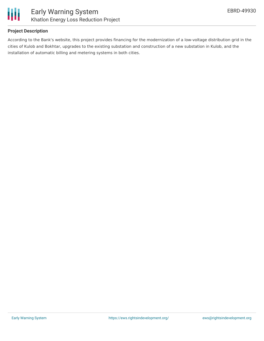

### **Project Description**

According to the Bank's website, this project provides financing for the modernization of a low-voltage distribution grid in the cities of Kulob and Bokhtar, upgrades to the existing substation and construction of a new substation in Kulob, and the installation of automatic billing and metering systems in both cities.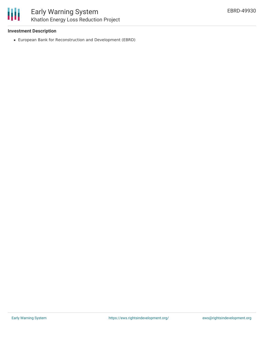

#### **Investment Description**

European Bank for Reconstruction and Development (EBRD)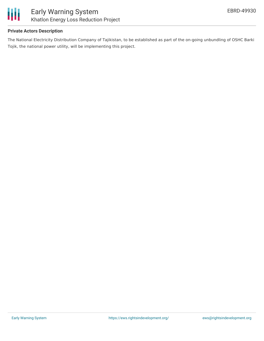

### **Private Actors Description**

The National Electricity Distribution Company of Tajikistan, to be established as part of the on-going unbundling of OSHC Barki Tojik, the national power utility, will be implementing this project.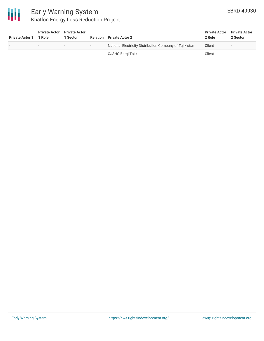

# Early Warning System Khatlon Energy Loss Reduction Project

| <b>Private Actor 1</b>   | <b>Private Actor</b><br><sup>1</sup> Role | <b>Private Actor</b><br>1 Sector | <b>Relation</b>          | <b>Private Actor 2</b>                                  | <b>Private Actor</b><br>2 Role | <b>Private Actor</b><br>2 Sector |
|--------------------------|-------------------------------------------|----------------------------------|--------------------------|---------------------------------------------------------|--------------------------------|----------------------------------|
| $\overline{\phantom{a}}$ | $\sim$                                    | $\overline{\phantom{0}}$         | $\overline{\phantom{0}}$ | National Electricity Distribution Company of Tajikistan | Client                         | -                                |
|                          |                                           | -                                | ۰                        | OJSHC Bargi Tojik                                       | Client                         | -                                |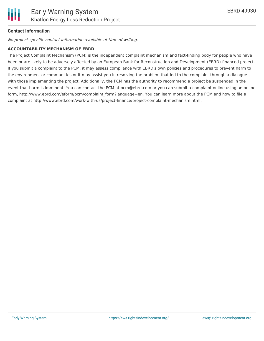## **Contact Information**

No project-specific contact information available at time of writing.

#### **ACCOUNTABILITY MECHANISM OF EBRD**

The Project Complaint Mechanism (PCM) is the independent complaint mechanism and fact-finding body for people who have been or are likely to be adversely affected by an European Bank for Reconstruction and Development (EBRD)-financed project. If you submit a complaint to the PCM, it may assess compliance with EBRD's own policies and procedures to prevent harm to the environment or communities or it may assist you in resolving the problem that led to the complaint through a dialogue with those implementing the project. Additionally, the PCM has the authority to recommend a project be suspended in the event that harm is imminent. You can contact the PCM at pcm@ebrd.com or you can submit a complaint online using an online form, http://www.ebrd.com/eform/pcm/complaint\_form?language=en. You can learn more about the PCM and how to file a complaint at http://www.ebrd.com/work-with-us/project-finance/project-complaint-mechanism.html.